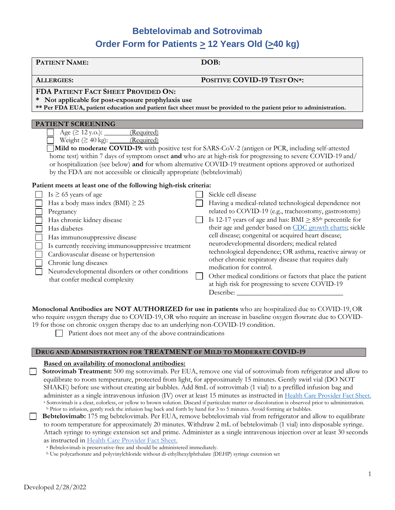# **Bebtelovimab and Sotrovimab Order Form for Patients > 12 Years Old (>40 kg)**

| PATIENT NAME:                                                                                            | DOB:                                                                                                                                                                                                                                                                                                                             |
|----------------------------------------------------------------------------------------------------------|----------------------------------------------------------------------------------------------------------------------------------------------------------------------------------------------------------------------------------------------------------------------------------------------------------------------------------|
| <b>ALLERGIES:</b>                                                                                        | POSITIVE COVID-19 TEST ON*:                                                                                                                                                                                                                                                                                                      |
| FDA PATIENT FACT SHEET PROVIDED ON:                                                                      |                                                                                                                                                                                                                                                                                                                                  |
| * Not applicable for post-exposure prophylaxis use                                                       | ** Per FDA EUA, patient education and patient fact sheet must be provided to the patient prior to administration.                                                                                                                                                                                                                |
|                                                                                                          |                                                                                                                                                                                                                                                                                                                                  |
| <b>PATIENT SCREENING</b>                                                                                 |                                                                                                                                                                                                                                                                                                                                  |
| Weight $(≥ 40 kg):$ (Required)<br>by the FDA are not accessible or clinically appropriate (bebtelovimab) | Mild to moderate COVID-19: with positive test for SARS-CoV-2 (antigen or PCR, including self-attested<br>home test) within 7 days of symptom onset and who are at high-risk for progressing to severe COVID-19 and/<br>or hospitalization (see below) and for whom alternative COVID-19 treatment options approved or authorized |
| Patient meets at least one of the following high-risk criteria:                                          |                                                                                                                                                                                                                                                                                                                                  |
| Is $\geq$ 65 years of age<br>Has a body mass index (BMI) $\geq$ 25<br>Pregnancy                          | Sickle cell disease<br>Having a medical-related technological dependence not<br>related to COVID-19 (e.g., tracheostomy, gastrostomy)                                                                                                                                                                                            |
| Has chronic kidney disease<br>Has diabetes<br>Has immunosuppressive disease                              | Is 12-17 years of age and has: BMI $\geq$ 85 <sup>th</sup> percentile for<br>their age and gender based on CDC growth charts; sickle<br>cell disease; congenital or acquired heart disease;                                                                                                                                      |

**Monoclonal Antibodies are NOT AUTHORIZED for use in patients** who are hospitalized due to COVID-19, OR who require oxygen therapy due to COVID-19,OR who require an increase in baseline oxygen flowrate due to COVID-19 for those on chronic oxygen therapy due to an underlying non-COVID-19 condition.

neurodevelopmental disorders; medical related

at high risk for progressing to severe COVID-19

medication for control.

Describe:

technological dependence; OR asthma, reactive airway or other chronic respiratory disease that requires daily

Other medical conditions or factors that place the patient

 $\Box$  Patient does not meet any of the above contraindications

### **DRUG AND ADMINISTRATION FOR TREATMENT OF MILD TO MODERATE COVID-19**

## **Based on availability of monoclonal antibodies:**

Is currently receiving immunosuppressive treatment

Neurodevelopmental disorders or other conditions

Cardiovascular disease or hypertension

that confer medical complexity

Chronic lung diseases

 **Sotrovimab Treatment:** 500 mg sotrovimab. Per EUA, remove one vial of sotrovimab from refrigerator and allow to equilibrate to room temperature, protected from light, for approximately 15 minutes. Gently swirl vial (DO NOT SHAKE) before use without creating air bubbles. Add 8mL of sotrovimab (1 vial) to a prefilled infusion bag and administer as a single intravenous infusion (IV) over at least 15 minutes as instructed in [Health Care Provider Fact Sheet.](https://www.fda.gov/media/149534/download) <sup>a</sup> Sotrovimab is a clear, colorless, or yellow to brown solution. Discard if particulate matter or discoloration is observed prior to administration. <sup>b</sup> Prior to infusion, gently rock the infusion bag back and forth by hand for 3 to 5 minutes. Avoid forming air bubbles.

**Bebtelovimab:** 175 mg bebtelovimab. Per EUA, remove bebtelovimab vial from refrigerator and allow to equilibrate to room temperature for approximately 20 minutes. Withdraw 2 mL of bebtelovimab (1 vial) into disposable syringe. Attach syringe to syringe extension set and prime. Administer as a single intravenous injection over at least 30 seconds as instructed i[n Health Care Provider Fact Sheet.](https://pi.lilly.com/eua/bebtelovimab-eua-factsheet-hcp.pdf)

<sup>a</sup> Bebtelovimab is preservative-free and should be administered immediately.

<sup>b</sup> Use polycarbonate and polyvinylchloride without di-ethylhexylphthalate (DEHP) syringe extension set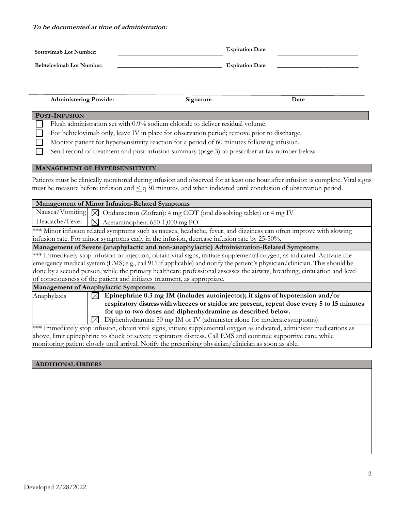#### **To be documented at time of administration:**

| Sotrovimab Lot Number:          | <b>Expiration Date</b> |  |
|---------------------------------|------------------------|--|
| <b>Bebtelovimab Lot Number:</b> | <b>Expiration Date</b> |  |

 **Administering Provider Signature Date**

#### **POST-INFUSION**

 Flush administration set with 0.9% sodium chloride to deliver residual volume.  $\blacksquare$ 

For bebtelovimab only, leave IV in place for observation period; remove prior to discharge.

Monitor patient for hypersensitivity reaction for a period of 60 minutes following infusion.

Send record of treatment and post-infusion summary (page 3) to prescriber at fax number below

#### **MANAGEMENT OF HYPERSENSITIVITY**

Patients must be clinically monitored during infusion and observed for at least one hour after infusion is complete. Vital signs must be measure before infusion and  $\leq q$  30 minutes, and when indicated until conclusion of observation period.

| <b>Management of Minor Infusion-Related Symptoms</b>                                                                                                                                                                                                                                                                                                                                                                                                          |  |  |
|---------------------------------------------------------------------------------------------------------------------------------------------------------------------------------------------------------------------------------------------------------------------------------------------------------------------------------------------------------------------------------------------------------------------------------------------------------------|--|--|
| Nausea/Vomiting $\boxtimes$ Ondansetron (Zofran): 4 mg ODT (oral dissolving tablet) or 4 mg IV                                                                                                                                                                                                                                                                                                                                                                |  |  |
| Headache/Fever $\mid \triangledown$ Acetaminophen: 650-1,000 mg PO                                                                                                                                                                                                                                                                                                                                                                                            |  |  |
| *** Minor infusion related symptoms such as nausea, headache, fever, and dizziness can often improve with slowing<br>infusion rate. For minor symptoms early in the infusion, decrease infusion rate by 25-50%.                                                                                                                                                                                                                                               |  |  |
| Management of Severe (anaphylactic and non-anaphylactic) Administration-Related Symptoms                                                                                                                                                                                                                                                                                                                                                                      |  |  |
| *** Immediately stop infusion or injection, obtain vital signs, initiate supplemental oxygen, as indicated. Activate the<br>emergency medical system (EMS; e.g., call 911 if applicable) and notify the patient's physician/clinician. This should be<br>done by a second person, while the primary healthcare professional assesses the airway, breathing, circulation and level<br>of consciousness of the patient and initiates treatment, as appropriate. |  |  |
| <b>Management of Anaphylactic Symptoms</b>                                                                                                                                                                                                                                                                                                                                                                                                                    |  |  |
| Epinephrine 0.3 mg IM (includes autoinjector); if signs of hypotension and/or<br>Anaphylaxis<br>IXI.<br>respiratory distress with wheezes or stridor are present, repeat dose every 5 to 15 minutes<br>for up to two doses and diphenhydramine as described below.<br>Diphenhydramine 50 mg IM or IV (administer alone for moderate symptoms)<br>M                                                                                                            |  |  |
| *** Immediately stop infusion, obtain vital signs, initiate supplemental oxygen as indicated, administer medications as<br>above, limit epinephrine to shock or severe respiratory distress. Call EMS and continue supportive care, while                                                                                                                                                                                                                     |  |  |

monitoring patient closely until arrival. Notify the prescribing physician/clinician as soon as able.

#### **ADDITIONAL ORDERS**